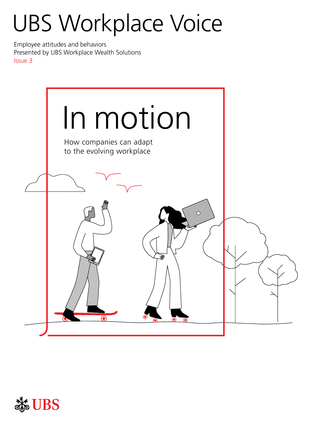# UBS Workplace Voice

Employee attitudes and behaviors Presented by UBS Workplace Wealth Solutions Issue 3



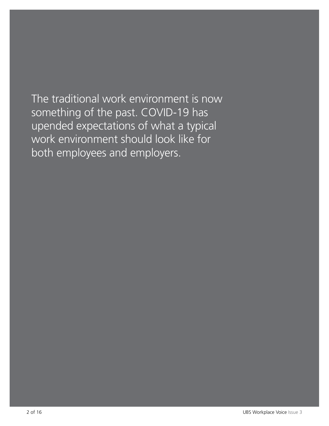The traditional work environment is now something of the past. COVID-19 has upended expectations of what a typical work environment should look like for both employees and employers.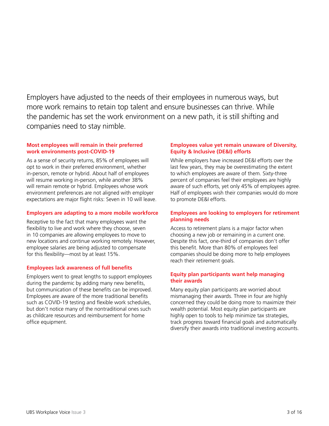Employers have adjusted to the needs of their employees in numerous ways, but more work remains to retain top talent and ensure businesses can thrive. While the pandemic has set the work environment on a new path, it is still shifting and companies need to stay nimble.

#### **Most employees will remain in their preferred work environments post-COVID-19**

As a sense of security returns, 85% of employees will opt to work in their preferred environment, whether in-person, remote or hybrid. About half of employees will resume working in-person, while another 38% will remain remote or hybrid. Employees whose work environment preferences are not aligned with employer expectations are major flight risks: Seven in 10 will leave.

#### **Employers are adapting to a more mobile workforce**

Receptive to the fact that many employees want the flexibility to live and work where they choose, seven in 10 companies are allowing employees to move to new locations and continue working remotely. However, employee salaries are being adjusted to compensate for this flexibility—most by at least 15%.

#### **Employees lack awareness of full benefits**

Employers went to great lengths to support employees during the pandemic by adding many new benefits, but communication of these benefits can be improved. Employees are aware of the more traditional benefits such as COVID-19 testing and flexible work schedules, but don't notice many of the nontraditional ones such as childcare resources and reimbursement for home office equipment.

#### **Employees value yet remain unaware of Diversity, Equity & Inclusive (DE&I) efforts**

While employers have increased DE&I efforts over the last few years, they may be overestimating the extent to which employees are aware of them. Sixty-three percent of companies feel their employees are highly aware of such efforts, yet only 45% of employees agree. Half of employees wish their companies would do more to promote DE&I efforts.

#### **Employees are looking to employers for retirement planning needs**

Access to retirement plans is a major factor when choosing a new job or remaining in a current one. Despite this fact, one-third of companies don't offer this benefit. More than 80% of employees feel companies should be doing more to help employees reach their retirement goals.

#### **Equity plan participants want help managing their awards**

Many equity plan participants are worried about mismanaging their awards. Three in four are highly concerned they could be doing more to maximize their wealth potential. Most equity plan participants are highly open to tools to help minimize tax strategies, track progress toward financial goals and automatically diversify their awards into traditional investing accounts.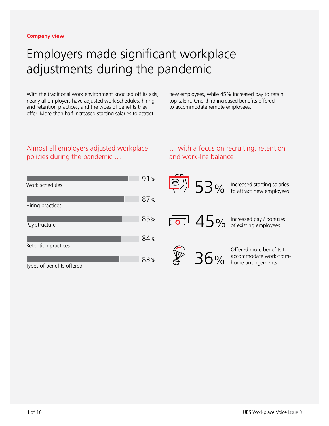### Employers made significant workplace adjustments during the pandemic

With the traditional work environment knocked off its axis, nearly all employers have adjusted work schedules, hiring and retention practices, and the types of benefits they offer. More than half increased starting salaries to attract

new employees, while 45% increased pay to retain top talent. One-third increased benefits offered to accommodate remote employees.

#### Almost all employers adjusted workplace policies during the pandemic …

#### … with a focus on recruiting, retention and work-life balance

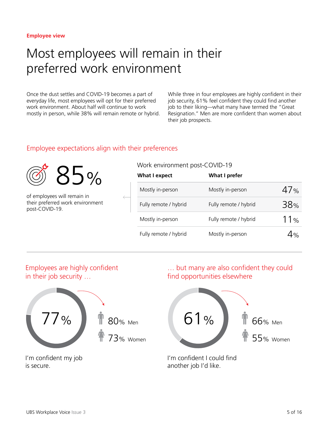### Most employees will remain in their preferred work environment

Once the dust settles and COVID-19 becomes a part of everyday life, most employees will opt for their preferred work environment. About half will continue to work mostly in person, while 38% will remain remote or hybrid. While three in four employees are highly confident in their job security, 61% feel confident they could find another job to their liking—what many have termed the "Great Resignation." Men are more confident than women about their job prospects.

#### Employee expectations align with their preferences



of employees will remain in their preferred work environment post-COVID-19.

#### Work environment post-COVID-19

| <b>What I expect</b>  | <b>What I prefer</b>  |                 |
|-----------------------|-----------------------|-----------------|
| Mostly in-person      | Mostly in-person      | 47%             |
| Fully remote / hybrid | Fully remote / hybrid | 38 <sub>%</sub> |
| Mostly in-person      | Fully remote / hybrid | 11%             |
| Fully remote / hybrid | Mostly in-person      | 4%              |

#### Employees are highly confident in their job security …



I'm confident my job is secure.

#### … but many are also confident they could find opportunities elsewhere



I'm confident I could find another job I'd like.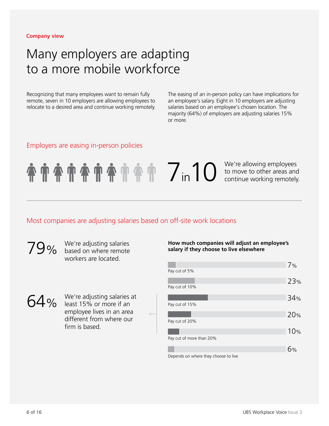#### **Company view**

### Many employers are adapting to a more mobile workforce

Recognizing that many employees want to remain fully remote, seven in 10 employers are allowing employees to relocate to a desired area and continue working remotely. The easing of an in-person policy can have implications for an employee's salary. Eight in 10 employers are adjusting salaries based on an employee's chosen location. The majority (64%) of employers are adjusting salaries 15% or more.

#### Employers are easing in-person policies

7 in 10 We're allowing employees<br>to move to other areas and<br>continue working remotely to move to other areas and continue working remotely.

#### Most companies are adjusting salaries based on off-site work locations

based on where remote workers are located.

64% We're adjusting salaries at verse of the salaries at least 15% or more if an employee lives in an area different from where our firm is based.

# **19%** We're adjusting salaries **and a startuge of the Manus How much companies will adjust an employee's salary if they choose to live elsewhere**

|                                                                                                                 | 7%  |
|-----------------------------------------------------------------------------------------------------------------|-----|
| Pay cut of 5%                                                                                                   |     |
|                                                                                                                 | 23% |
| Pay cut of 10%                                                                                                  |     |
|                                                                                                                 | 34% |
| Pay cut of 15%                                                                                                  |     |
|                                                                                                                 | 20% |
| Pay cut of 20%                                                                                                  |     |
|                                                                                                                 | 10% |
| Pay cut of more than 20%                                                                                        |     |
|                                                                                                                 | 6%  |
| the contract of the contract of the contract of the contract of the contract of the contract of the contract of |     |

Depends on where they choose to live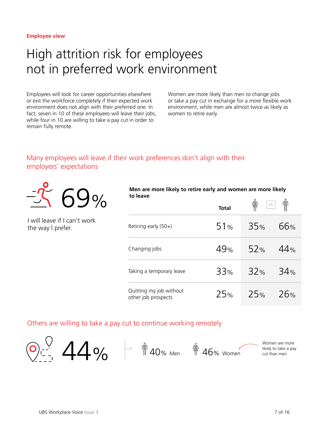### High attrition risk for employees not in preferred work environment

Employees will look for career opportunities elsewhere or exit the workforce completely if their expected work environment does not align with their preferred one. In fact, seven in 10 of these employees will leave their jobs, while four in 10 are willing to take a pay cut in order to remain fully remote.

Women are more likely than men to change jobs or take a pay cut in exchange for a more flexible work environment, while men are almost twice as likely as women to retire early.

### Many employees will leave if their work preferences don't align with their employers' expectations



I will leave if I can't work the way I prefer.

| Men are more likely to retire early and women are more likely |  |
|---------------------------------------------------------------|--|
| to leave                                                      |  |

|                                                | <b>Total</b> |     | VS              |
|------------------------------------------------|--------------|-----|-----------------|
| Retiring early (50+)                           | 51%          | 35% | 66%             |
| Changing jobs                                  | 49%          | 52% | 44%             |
| Taking a temporary leave                       | 33%          | 32% | 34 <sub>%</sub> |
| Quitting my job without<br>other job prospects | 25%          | 25% | 26%             |

#### Others are willing to take a pay cut to continue working remotely

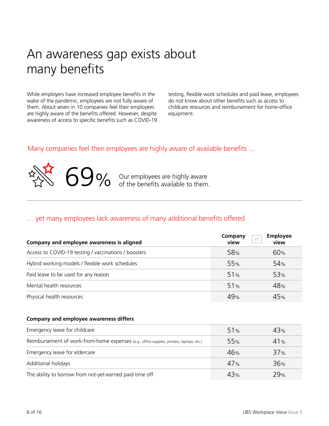### An awareness gap exists about many benefits

While employers have increased employee benefits in the wake of the pandemic, employees are not fully aware of them. About seven in 10 companies feel their employees are highly aware of the benefits offered. However, despite awareness of access to specific benefits such as COVID-19 testing, flexible work schedules and paid leave, employees do not know about other benefits such as access to childcare resources and reimbursement for home-office equipment.

#### Many companies feel their employees are highly aware of available benefits ...



**69%** Our employees are highly aware of the benefits available to them.

#### … yet many employees lack awareness of many additional benefits offered

| Company and employee awareness is aligned            | Company<br>view | <b>Employee</b><br>VS<br>view |
|------------------------------------------------------|-----------------|-------------------------------|
| Access to COVID-19 testing / vaccinations / boosters | 58%             | 60%                           |
| Hybrid working models / flexible work schedules      | 55 <sub>%</sub> | 54%                           |
| Paid leave to be used for any reason                 | 51%             | 53 <sub>%</sub>               |
| Mental health resources                              | 51%             | 48%                           |
| Physical health resources                            | 49%             | 45%                           |

#### **Company and employee awareness differs**

| Emergency leave for childcare                                                             | 51%             | 43% |
|-------------------------------------------------------------------------------------------|-----------------|-----|
| Reimbursement of work-from-home expenses (e.g., office supplies, printers, laptops, etc.) | 55 <sub>%</sub> | 41% |
| Emergency leave for eldercare                                                             | 46%             | 37% |
| Additional holidays                                                                       | 47%             | 36% |
| The ability to borrow from not-yet-earned paid time off                                   | 43%             | 29% |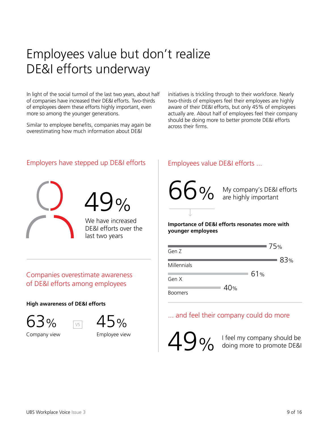## Employees value but don't realize DE&I efforts underway

In light of the social turmoil of the last two years, about half of companies have increased their DE&I efforts. Two-thirds of employees deem these efforts highly important, even more so among the younger generations.

Similar to employee benefits, companies may again be overestimating how much information about DE&I

initiatives is trickling through to their workforce. Nearly two-thirds of employers feel their employees are highly aware of their DE&I efforts, but only 45% of employees actually are. About half of employees feel their company should be doing more to better promote DE&I efforts across their firms.

### Employers have stepped up DE&I efforts | Employees value DE&I efforts ...



#### Companies overestimate awareness of DE&I efforts among employees

VS

#### **High awareness of DE&I efforts**





Company view





#### **Importance of DE&I efforts resonates more with younger employees**



### ... and feel their company could do more

49%

Employee view  $\overline{\mathbf{A} \mathbf{Q}}$  I feel my company should be doing more to promote DE&I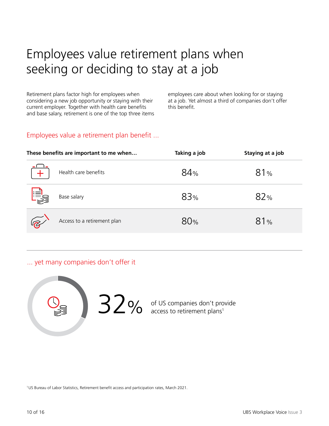# Employees value retirement plans when seeking or deciding to stay at a job

Retirement plans factor high for employees when considering a new job opportunity or staying with their current employer. Together with health care benefits and base salary, retirement is one of the top three items employees care about when looking for or staying at a job. Yet almost a third of companies don't offer this benefit.

### Employees value a retirement plan benefit ...

|            | These benefits are important to me when | Taking a job | Staying at a job |
|------------|-----------------------------------------|--------------|------------------|
|            | Health care benefits                    | 84%          | 81%              |
| <u> 대중</u> | Base salary                             | 83%          | 82%              |
|            | Access to a retirement plan             | 80%          | 81%              |

... yet many companies don't offer it



of US companies don't provide  $32\%$  of US companies don't pro<br>access to retirement plans<sup>1</sup>

1US Bureau of Labor Statistics, Retirement benefit access and participation rates, March 2021.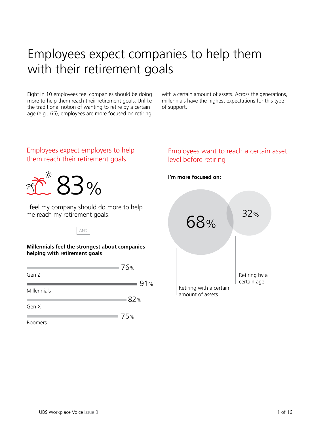### Employees expect companies to help them with their retirement goals

Eight in 10 employees feel companies should be doing more to help them reach their retirement goals. Unlike the traditional notion of wanting to retire by a certain age (e.g., 65), employees are more focused on retiring

with a certain amount of assets. Across the generations, millennials have the highest expectations for this type of support.

#### Employees expect employers to help them reach their retirement goals



I feel my company should do more to help me reach my retirement goals.

AND

**Millennials feel the strongest about companies helping with retirement goals**

|                | 76% |
|----------------|-----|
| Gen Z          |     |
|                | 91% |
| Millennials    |     |
|                | 82% |
| Gen X          |     |
|                | 75% |
| <b>Boomers</b> |     |

#### Employees want to reach a certain asset level before retiring

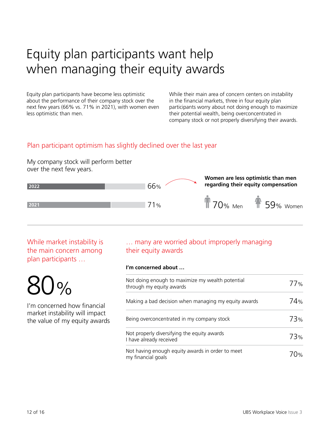# Equity plan participants want help when managing their equity awards

Equity plan participants have become less optimistic about the performance of their company stock over the next few years (66% vs. 71% in 2021), with women even less optimistic than men.

While their main area of concern centers on instability in the financial markets, three in four equity plan participants worry about not doing enough to maximize their potential wealth, being overconcentrated in company stock or not properly diversifying their awards.

#### Plan participant optimism has slightly declined over the last year

My company stock will perform better over the next few years.



While market instability is the main concern among plan participants …

80%

I'm concerned how financial market instability will impact the value of my equity awards

#### … many are worried about improperly managing their equity awards

#### **I'm concerned about …**

| Not doing enough to maximize my wealth potential<br>through my equity awards | 77 <sub>%</sub> |
|------------------------------------------------------------------------------|-----------------|
| Making a bad decision when managing my equity awards                         | 74%             |
| Being overconcentrated in my company stock                                   | 73%             |
| Not properly diversifying the equity awards<br>I have already received       | 73%             |
| Not having enough equity awards in order to meet<br>my financial goals       | 70%.            |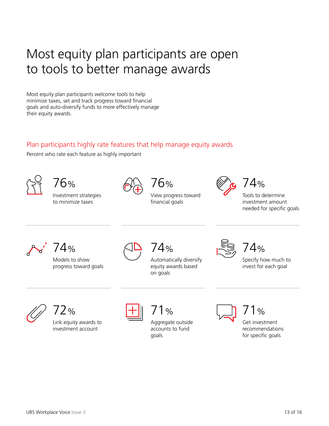### Most equity plan participants are open to tools to better manage awards

Most equity plan participants welcome tools to help minimize taxes, set and track progress toward financial goals and auto-diversify funds to more effectively manage their equity awards.

### Plan participants highly rate features that help manage equity awards

Percent who rate each feature as highly important



```
76%
```
Investment strategies to minimize taxes



View progress toward financial goals

76%



 $74%$ 

Tools to determine investment amount needed for specific goals



74%

Models to show progress toward goals



Automatically diversify equity awards based on goals 74%





72%

Link equity awards to investment account



### 71%

Aggregate outside accounts to fund goals



Get investment 71%

recommendations for specific goals

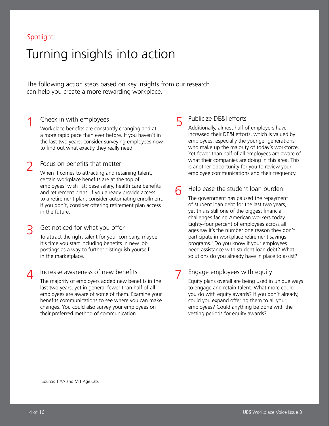#### Spotlight

1

### Turning insights into action

The following action steps based on key insights from our research can help you create a more rewarding workplace.

#### Check in with employees

Workplace benefits are constantly changing and at a more rapid pace than ever before. If you haven't in the last two years, consider surveying employees now to find out what exactly they really need.

#### Focus on benefits that matter 2

When it comes to attracting and retaining talent, certain workplace benefits are at the top of employees' wish list: base salary, health care benefits and retirement plans. If you already provide access to a retirement plan, consider automating enrollment. If you don't, consider offering retirement plan access in the future.

#### Get noticed for what you offer 3

To attract the right talent for your company, maybe it's time you start including benefits in new job postings as a way to further distinguish yourself in the marketplace.

Increase awareness of new benefits The majority of employers added new benefits in the last two years, yet in general fewer than half of all employees are aware of some of them. Examine your benefits communications to see where you can make changes. You could also survey your employees on their preferred method of communication.  $\Delta$ 

#### 5 Publicize DE&I efforts

Additionally, almost half of employers have increased their DE&I efforts, which is valued by employees, especially the younger generations who make up the majority of today's workforce. Yet fewer than half of all employees are aware of what their companies are doing in this area. This is another opportunity for you to review your employee communications and their frequency.

#### 6 Help ease the student loan burden

The government has paused the repayment of student loan debt for the last two years, yet this is still one of the biggest financial challenges facing American workers today. Eighty-four percent of employees across all ages say it's the number one reason they don't participate in workplace retirement savings programs.1 Do you know if your employees need assistance with student loan debt? What solutions do you already have in place to assist?

#### 7 Engage employees with equity

Equity plans overall are being used in unique ways to engage and retain talent. What more could you do with equity awards? If you don't already, could you expand offering them to all your employees? Could anything be done with the vesting periods for equity awards?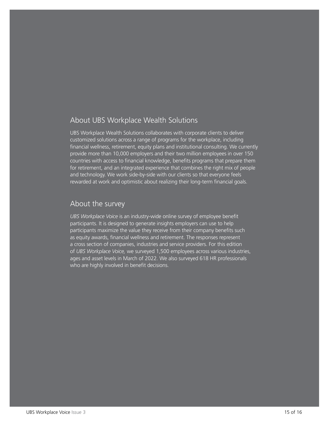#### About UBS Workplace Wealth Solutions

UBS Workplace Wealth Solutions collaborates with corporate clients to deliver customized solutions across a range of programs for the workplace, including financial wellness, retirement, equity plans and institutional consulting. We currently provide more than 10,000 employers and their two million employees in over 150 countries with access to financial knowledge, benefits programs that prepare them for retirement, and an integrated experience that combines the right mix of people and technology. We work side-by-side with our clients so that everyone feels rewarded at work and optimistic about realizing their long-term financial goals.

#### About the survey

*UBS Workplace Voice* is an industry-wide online survey of employee benefit participants. It is designed to generate insights employers can use to help participants maximize the value they receive from their company benefits such as equity awards, financial wellness and retirement. The responses represent a cross section of companies, industries and service providers. For this edition of *UBS Workplace Voice,* we surveyed 1,500 employees across various industries, ages and asset levels in March of 2022. We also surveyed 618 HR professionals who are highly involved in benefit decisions.